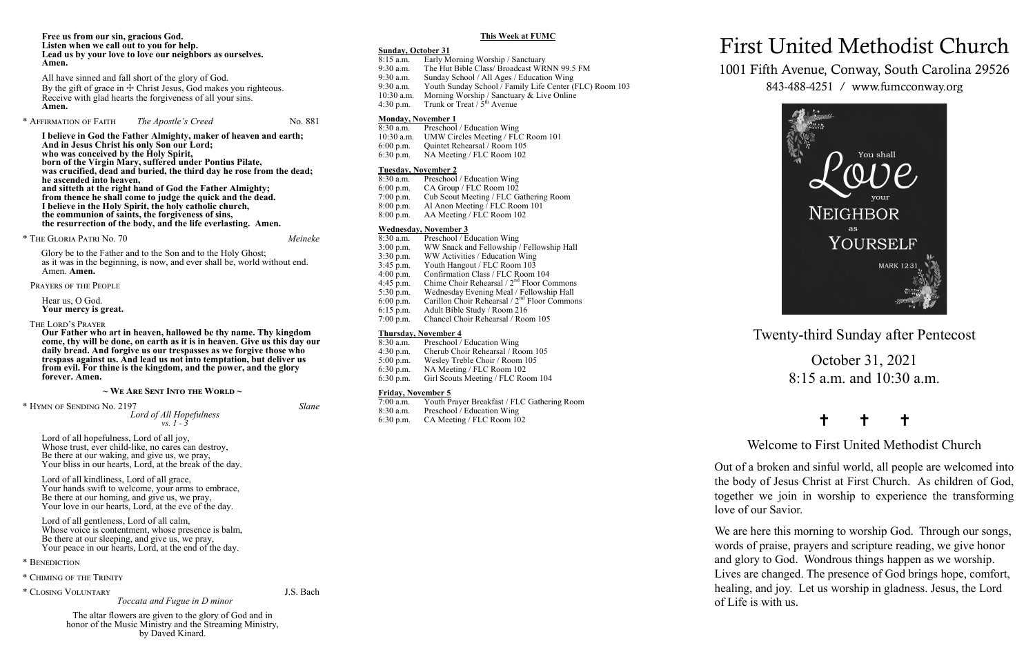Twenty-third Sunday after Pentecost

October 31, 2021 8:15 a.m. and 10:30 a.m.

## † † †

Welcome to First United Methodist Church

Out of a broken and sinful world, all people are welcomed into the body of Jesus Christ at First Church. As children of God, together we join in worship to experience the transforming love of our Savior.

We are here this morning to worship God. Through our songs, words of praise, prayers and scripture reading, we give honor and glory to God. Wondrous things happen as we worship. Lives are changed. The presence of God brings hope, comfort, healing, and joy. Let us worship in gladness. Jesus, the Lord of Life is with us.

# First United Methodist Church

1001 Fifth Avenue, Conway, South Carolina 29526 843-488-4251 / www.fumcconway.org



### **Free us from our sin, gracious God. Listen when we call out to you for help. Lead us by your love to love our neighbors as ourselves. Amen.**

All have sinned and fall short of the glory of God. By the gift of grace in  $\pm$  Christ Jesus, God makes you righteous. Receive with glad hearts the forgiveness of all your sins. **Amen.**

\* Affirmation of Faith *The Apostle's Creed* No. 881

Lord of all kindliness, Lord of all grace, Your hands swift to welcome, your arms to embrace, Be there at our homing, and give us, we pray, Your love in our hearts, Lord, at the eve of the day.

Lord of all gentleness, Lord of all calm, Whose voice is contentment, whose presence is balm, Be there at our sleeping, and give us, we pray, Your peace in our hearts, Lord, at the end of the day.

**I believe in God the Father Almighty, maker of heaven and earth; And in Jesus Christ his only Son our Lord; who was conceived by the Holy Spirit, born of the Virgin Mary, suffered under Pontius Pilate, was crucified, dead and buried, the third day he rose from the dead; he ascended into heaven, and sitteth at the right hand of God the Father Almighty; from thence he shall come to judge the quick and the dead. I believe in the Holy Spirit, the holy catholic church, the communion of saints, the forgiveness of sins, the resurrection of the body, and the life everlasting. Amen.** 

- 8:15 a.m. Early Morning Worship / Sanctuary
- 9:30 a.m. The Hut Bible Class/ Broadcast WRNN 99.5 FM
- 9:30 a.m. Sunday School / All Ages / Education Wing
- 9:30 a.m. Youth Sunday School / Family Life Center (FLC) Room 103<br>10:30 a.m. Morning Worship / Sanctuary & Live Online
- 10:30 a.m. Morning Worship / Sanctuary & Live Online 4:30 p.m. Trunk or Treat /  $5<sup>th</sup>$  Avenue Trunk or Treat /  $5<sup>th</sup>$  Avenue

\* The Gloria Patri No. 70 *Meineke*

Glory be to the Father and to the Son and to the Holy Ghost; as it was in the beginning, is now, and ever shall be, world without end. Amen. **Amen.** 

- 8:30 a.m. Preschool / Education Wing
- 6:00 p.m. CA Group / FLC Room 102
- 7:00 p.m. Cub Scout Meeting / FLC Gathering Room<br>8:00 p.m. Al Anon Meeting / FLC Room 101
- 8:00 p.m. Al Anon Meeting  $\overline{V}$  FLC Room 101<br>8:00 p.m. AA Meeting / FLC Room 102
- AA Meeting / FLC Room 102

Prayers of the People

Hear us, O God. **Your mercy is great.**

The Lord's Prayer

**Our Father who art in heaven, hallowed be thy name. Thy kingdom come, thy will be done, on earth as it is in heaven. Give us this day our daily bread. And forgive us our trespasses as we forgive those who trespass against us. And lead us not into temptation, but deliver us from evil. For thine is the kingdom, and the power, and the glory forever. Amen.** 

## **~ We Are Sent Into the World ~**

\* Hymn of Sending No. 2197 *Slane*

*Lord of All Hopefulness vs. 1 - 3*

Lord of all hopefulness, Lord of all joy, Whose trust, ever child-like, no cares can destroy, Be there at our waking, and give us, we pray, Your bliss in our hearts, Lord, at the break of the day.

\* Benediction

\* Chiming of the Trinity

\* Closing Voluntary J.S. Bach

*Toccata and Fugue in D minor*

The altar flowers are given to the glory of God and in honor of the Music Ministry and the Streaming Ministry, by Daved Kinard.

## **This Week at FUMC**

## **Sunday, October 31**

## **Monday, November 1**

- 8:30 a.m. Preschool / Education Wing<br>10:30 a.m. UMW Circles Meeting / FLO
- 10:30 a.m. UMW Circles Meeting / FLC Room 101<br>6:00 p.m. Ouintet Rehearsal / Room 105
- 6:00 p.m. Quintet Rehearsal / Room 105<br>6:30 p.m. NA Meeting / FLC Room 102
- NA Meeting / FLC Room 102

## **Tuesday, November 2**

## **Wednesday, November 3**

- $8:30$  a.m. Preschool / Education Wing<br>3:00 p.m. WW Snack and Fellowship /
- 3:00 p.m. WW Snack and Fellowship  $\frac{3.00 \text{ p.m.}}{13.30 \text{ p.m.}}$  WW Activities / Education Wing
- WW Activities / Education Wing
- 3:45 p.m. Youth Hangout / FLC Room  $10\overline{3}$ <br>4:00 p.m. Confirmation Class / FLC Room
- 4:00 p.m. Confirmation Class / FLC Room 104<br>4:45 p.m. Chime Choir Rehearsal /  $2<sup>nd</sup>$  Floor Co
- 4:45 p.m. Chime Choir Rehearsal  $/2<sup>nd</sup>$  Floor Commons<br>5:30 p.m. Wednesday Evening Meal / Fellowship Hall
- 5:30 p.m. Wednesday Evening Meal / Fellowship Hall 6:00 p.m. Carillon Choir Rehearsal /  $2<sup>nd</sup>$  Floor Common Carillon Choir Rehearsal  $/ 2<sup>nd</sup>$  Floor Commons
- 
- 6:15 p.m. Adult Bible Study / Room 216<br>7:00 p.m. Chancel Choir Rehearsal / Roo Chancel Choir Rehearsal / Room 105

## **Thursday, November 4**<br>8:30 a.m. Preschool /

- 8:30 a.m. Preschool / Education Wing<br>4:30 p.m. Cherub Choir Rehearsal / Ro
- 4:30 p.m. Cherub Choir Rehearsal / Room 105<br>5:00 p.m. Wesley Treble Choir / Room 105
- 5:00 p.m. Wesley Treble Choir / Room 105<br>6:30 p.m. NA Meeting / FLC Room 102
- 6:30 p.m. NA Meeting / FLC Room 102<br>6:30 p.m. Girl Scouts Meeting / FLC Roo
- Girl Scouts Meeting / FLC Room 104

## **Friday, November 5**

- 7:00 a.m. Youth Prayer Breakfast / FLC Gathering Room
- 8:30 a.m. Preschool / Education Wing 6:30 p.m. CA Meeting / FLC Room 102